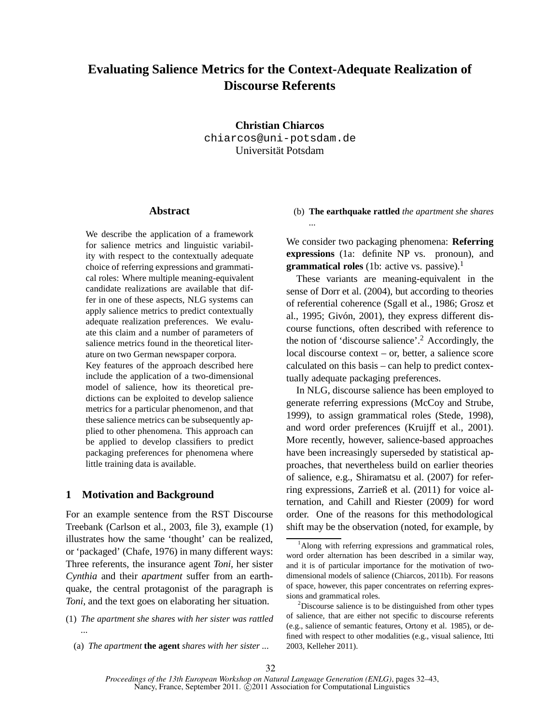# **Evaluating Salience Metrics for the Context-Adequate Realization of Discourse Referents**

**Christian Chiarcos** chiarcos@uni-potsdam.de Universität Potsdam

# **Abstract**

We describe the application of a framework for salience metrics and linguistic variability with respect to the contextually adequate choice of referring expressions and grammatical roles: Where multiple meaning-equivalent candidate realizations are available that differ in one of these aspects, NLG systems can apply salience metrics to predict contextually adequate realization preferences. We evaluate this claim and a number of parameters of salience metrics found in the theoretical literature on two German newspaper corpora.

Key features of the approach described here include the application of a two-dimensional model of salience, how its theoretical predictions can be exploited to develop salience metrics for a particular phenomenon, and that these salience metrics can be subsequently applied to other phenomena. This approach can be applied to develop classifiers to predict packaging preferences for phenomena where little training data is available.

# **1 Motivation and Background**

For an example sentence from the RST Discourse Treebank (Carlson et al., 2003, file 3), example (1) illustrates how the same 'thought' can be realized, or 'packaged' (Chafe, 1976) in many different ways: Three referents, the insurance agent *Toni*, her sister *Cynthia* and their *apartment* suffer from an earthquake, the central protagonist of the paragraph is *Toni*, and the text goes on elaborating her situation.

- (1) *The apartment she shares with her sister was rattled ...*
	- (a) *The apartment* **the agent** *shares with her sister ...*

# (b) **The earthquake rattled** *the apartment she shares*

We consider two packaging phenomena: **Referring expressions** (1a: definite NP vs. pronoun), and **grammatical roles** (1b: active vs. passive).<sup>1</sup>

These variants are meaning-equivalent in the sense of Dorr et al. (2004), but according to theories of referential coherence (Sgall et al., 1986; Grosz et al., 1995; Givón, 2001), they express different discourse functions, often described with reference to the notion of 'discourse salience'.<sup>2</sup> Accordingly, the local discourse context – or, better, a salience score calculated on this basis – can help to predict contextually adequate packaging preferences.

In NLG, discourse salience has been employed to generate referring expressions (McCoy and Strube, 1999), to assign grammatical roles (Stede, 1998), and word order preferences (Kruijff et al., 2001). More recently, however, salience-based approaches have been increasingly superseded by statistical approaches, that nevertheless build on earlier theories of salience, e.g., Shiramatsu et al. (2007) for referring expressions, Zarrieß et al. (2011) for voice alternation, and Cahill and Riester (2009) for word order. One of the reasons for this methodological shift may be the observation (noted, for example, by

<sup>&</sup>lt;sup>1</sup>Along with referring expressions and grammatical roles, word order alternation has been described in a similar way, and it is of particular importance for the motivation of twodimensional models of salience (Chiarcos, 2011b). For reasons of space, however, this paper concentrates on referring expressions and grammatical roles.

 $2^2$ Discourse salience is to be distinguished from other types of salience, that are either not specific to discourse referents (e.g., salience of semantic features, Ortony et al. 1985), or defined with respect to other modalities (e.g., visual salience, Itti 2003, Kelleher 2011).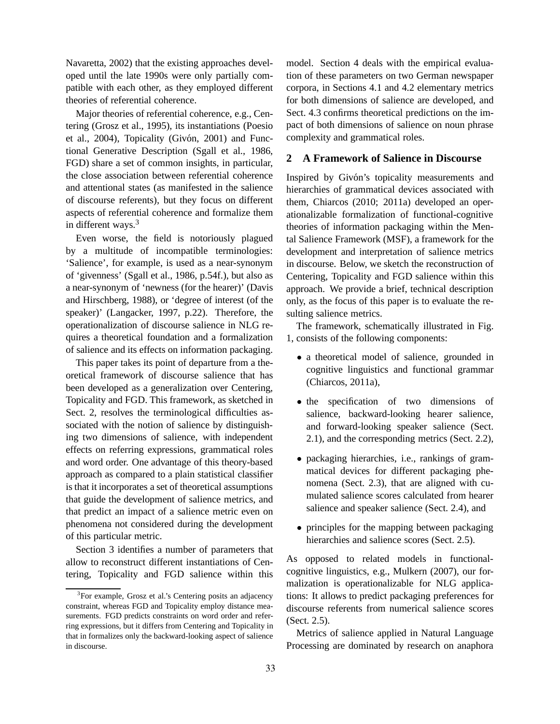Navaretta, 2002) that the existing approaches developed until the late 1990s were only partially compatible with each other, as they employed different theories of referential coherence.

Major theories of referential coherence, e.g., Centering (Grosz et al., 1995), its instantiations (Poesio et al.,  $2004$ ), Topicality (Givón, 2001) and Functional Generative Description (Sgall et al., 1986, FGD) share a set of common insights, in particular, the close association between referential coherence and attentional states (as manifested in the salience of discourse referents), but they focus on different aspects of referential coherence and formalize them in different ways.<sup>3</sup>

Even worse, the field is notoriously plagued by a multitude of incompatible terminologies: 'Salience', for example, is used as a near-synonym of 'givenness' (Sgall et al., 1986, p.54f.), but also as a near-synonym of 'newness (for the hearer)' (Davis and Hirschberg, 1988), or 'degree of interest (of the speaker)' (Langacker, 1997, p.22). Therefore, the operationalization of discourse salience in NLG requires a theoretical foundation and a formalization of salience and its effects on information packaging.

This paper takes its point of departure from a theoretical framework of discourse salience that has been developed as a generalization over Centering, Topicality and FGD. This framework, as sketched in Sect. 2, resolves the terminological difficulties associated with the notion of salience by distinguishing two dimensions of salience, with independent effects on referring expressions, grammatical roles and word order. One advantage of this theory-based approach as compared to a plain statistical classifier is that it incorporates a set of theoretical assumptions that guide the development of salience metrics, and that predict an impact of a salience metric even on phenomena not considered during the development of this particular metric.

Section 3 identifies a number of parameters that allow to reconstruct different instantiations of Centering, Topicality and FGD salience within this

model. Section 4 deals with the empirical evaluation of these parameters on two German newspaper corpora, in Sections 4.1 and 4.2 elementary metrics for both dimensions of salience are developed, and Sect. 4.3 confirms theoretical predictions on the impact of both dimensions of salience on noun phrase complexity and grammatical roles.

# **2 A Framework of Salience in Discourse**

Inspired by Givón's topicality measurements and hierarchies of grammatical devices associated with them, Chiarcos (2010; 2011a) developed an operationalizable formalization of functional-cognitive theories of information packaging within the Mental Salience Framework (MSF), a framework for the development and interpretation of salience metrics in discourse. Below, we sketch the reconstruction of Centering, Topicality and FGD salience within this approach. We provide a brief, technical description only, as the focus of this paper is to evaluate the resulting salience metrics.

The framework, schematically illustrated in Fig. 1, consists of the following components:

- a theoretical model of salience, grounded in cognitive linguistics and functional grammar (Chiarcos, 2011a),
- the specification of two dimensions of salience, backward-looking hearer salience, and forward-looking speaker salience (Sect. 2.1), and the corresponding metrics (Sect. 2.2),
- packaging hierarchies, i.e., rankings of grammatical devices for different packaging phenomena (Sect. 2.3), that are aligned with cumulated salience scores calculated from hearer salience and speaker salience (Sect. 2.4), and
- principles for the mapping between packaging hierarchies and salience scores (Sect. 2.5).

As opposed to related models in functionalcognitive linguistics, e.g., Mulkern (2007), our formalization is operationalizable for NLG applications: It allows to predict packaging preferences for discourse referents from numerical salience scores (Sect. 2.5).

Metrics of salience applied in Natural Language Processing are dominated by research on anaphora

<sup>&</sup>lt;sup>3</sup>For example, Grosz et al.'s Centering posits an adjacency constraint, whereas FGD and Topicality employ distance measurements. FGD predicts constraints on word order and referring expressions, but it differs from Centering and Topicality in that in formalizes only the backward-looking aspect of salience in discourse.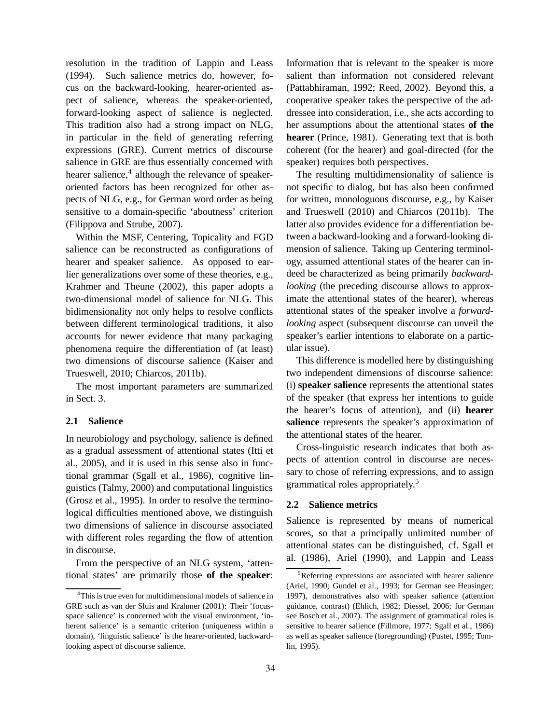resolution in the tradition of Lappin and Leass (1994). Such salience metrics do, however, focus on the backward-looking, hearer-oriented aspect of salience, whereas the speaker-oriented, forward-looking aspect of salience is neglected. This tradition also had a strong impact on NLG, in particular in the field of generating referring expressions (GRE). Current metrics of discourse salience in GRE are thus essentially concerned with hearer salience,<sup>4</sup> although the relevance of speakeroriented factors has been recognized for other aspects of NLG, e.g., for German word order as being sensitive to a domain-specific 'aboutness' criterion (Filippova and Strube, 2007).

Within the MSF, Centering, Topicality and FGD salience can be reconstructed as configurations of hearer and speaker salience. As opposed to earlier generalizations over some of these theories, e.g., Krahmer and Theune (2002), this paper adopts a two-dimensional model of salience for NLG. This bidimensionality not only helps to resolve conflicts between different terminological traditions, it also accounts for newer evidence that many packaging phenomena require the differentiation of (at least) two dimensions of discourse salience (Kaiser and Trueswell, 2010; Chiarcos, 2011b).

The most important parameters are summarized in Sect. 3.

#### **2.1 Salience**

In neurobiology and psychology, salience is defined as a gradual assessment of attentional states (Itti et al., 2005), and it is used in this sense also in functional grammar (Sgall et al., 1986), cognitive linguistics (Talmy, 2000) and computational linguistics (Grosz et al., 1995). In order to resolve the terminological difficulties mentioned above, we distinguish two dimensions of salience in discourse associated with different roles regarding the flow of attention in discourse.

From the perspective of an NLG system, 'attentional states' are primarily those **of the speaker**: Information that is relevant to the speaker is more salient than information not considered relevant (Pattabhiraman, 1992; Reed, 2002). Beyond this, a cooperative speaker takes the perspective of the addressee into consideration, i.e., she acts according to her assumptions about the attentional states **of the hearer** (Prince, 1981). Generating text that is both coherent (for the hearer) and goal-directed (for the speaker) requires both perspectives.

The resulting multidimensionality of salience is not specific to dialog, but has also been confirmed for written, monologuous discourse, e.g., by Kaiser and Trueswell (2010) and Chiarcos (2011b). The latter also provides evidence for a differentiation between a backward-looking and a forward-looking dimension of salience. Taking up Centering terminology, assumed attentional states of the hearer can indeed be characterized as being primarily *backwardlooking* (the preceding discourse allows to approximate the attentional states of the hearer), whereas attentional states of the speaker involve a *forwardlooking* aspect (subsequent discourse can unveil the speaker's earlier intentions to elaborate on a particular issue).

This difference is modelled here by distinguishing two independent dimensions of discourse salience: (i) **speaker salience** represents the attentional states of the speaker (that express her intentions to guide the hearer's focus of attention), and (ii) **hearer salience** represents the speaker's approximation of the attentional states of the hearer.

Cross-linguistic research indicates that both aspects of attention control in discourse are necessary to chose of referring expressions, and to assign grammatical roles appropriately.<sup>5</sup>

#### **2.2 Salience metrics**

Salience is represented by means of numerical scores, so that a principally unlimited number of attentional states can be distinguished, cf. Sgall et al. (1986), Ariel (1990), and Lappin and Leass

<sup>&</sup>lt;sup>4</sup>This is true even for multidimensional models of salience in GRE such as van der Sluis and Krahmer (2001): Their 'focusspace salience' is concerned with the visual environment, 'inherent salience' is a semantic criterion (uniqueness within a domain), 'linguistic salience' is the hearer-oriented, backwardlooking aspect of discourse salience.

<sup>5</sup>Referring expressions are associated with hearer salience (Ariel, 1990; Gundel et al., 1993; for German see Heusinger; 1997), demonstratives also with speaker salience (attention guidance, contrast) (Ehlich, 1982; Diessel, 2006; for German see Bosch et al., 2007). The assignment of grammatical roles is sensitive to hearer salience (Fillmore, 1977; Sgall et al., 1986) as well as speaker salience (foregrounding) (Pustet, 1995; Tomlin, 1995).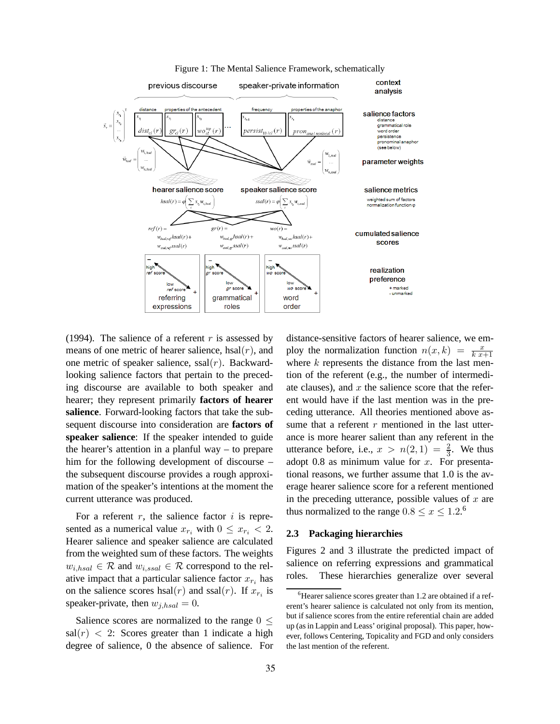

Figure 1: The Mental Salience Framework, schematically

(1994). The salience of a referent  $r$  is assessed by means of one metric of hearer salience, hsal $(r)$ , and one metric of speaker salience,  $ssal(r)$ . Backwardlooking salience factors that pertain to the preceding discourse are available to both speaker and hearer; they represent primarily **factors of hearer salience**. Forward-looking factors that take the subsequent discourse into consideration are **factors of speaker salience**: If the speaker intended to guide the hearer's attention in a planful way – to prepare him for the following development of discourse – the subsequent discourse provides a rough approximation of the speaker's intentions at the moment the current utterance was produced.

For a referent  $r$ , the salience factor  $i$  is represented as a numerical value  $x_{r_i}$  with  $0 \leq x_{r_i} < 2$ . Hearer salience and speaker salience are calculated from the weighted sum of these factors. The weights  $w_{i,hsal} \in \mathcal{R}$  and  $w_{i,ssal} \in \mathcal{R}$  correspond to the relative impact that a particular salience factor  $x_{r_i}$  has on the salience scores hsal $(r)$  and ssal $(r)$ . If  $x_{r_i}$  is speaker-private, then  $w_{j,hsal} = 0$ .

Salience scores are normalized to the range  $0 <$  $sal(r)$  < 2: Scores greater than 1 indicate a high degree of salience, 0 the absence of salience. For distance-sensitive factors of hearer salience, we employ the normalization function  $n(x, k) = \frac{x}{k(x+1)}$ where  $k$  represents the distance from the last mention of the referent (e.g., the number of intermediate clauses), and  $x$  the salience score that the referent would have if the last mention was in the preceding utterance. All theories mentioned above assume that a referent  $r$  mentioned in the last utterance is more hearer salient than any referent in the utterance before, i.e.,  $x > n(2, 1) = \frac{2}{3}$ . We thus adopt 0.8 as minimum value for  $x$ . For presentational reasons, we further assume that 1.0 is the average hearer salience score for a referent mentioned in the preceding utterance, possible values of  $x$  are thus normalized to the range  $0.8 \le x \le 1.2$ .<sup>6</sup>

# **2.3 Packaging hierarchies**

Figures 2 and 3 illustrate the predicted impact of salience on referring expressions and grammatical roles. These hierarchies generalize over several

<sup>&</sup>lt;sup>6</sup>Hearer salience scores greater than 1.2 are obtained if a referent's hearer salience is calculated not only from its mention, but if salience scores from the entire referential chain are added up (as in Lappin and Leass' original proposal). This paper, however, follows Centering, Topicality and FGD and only considers the last mention of the referent.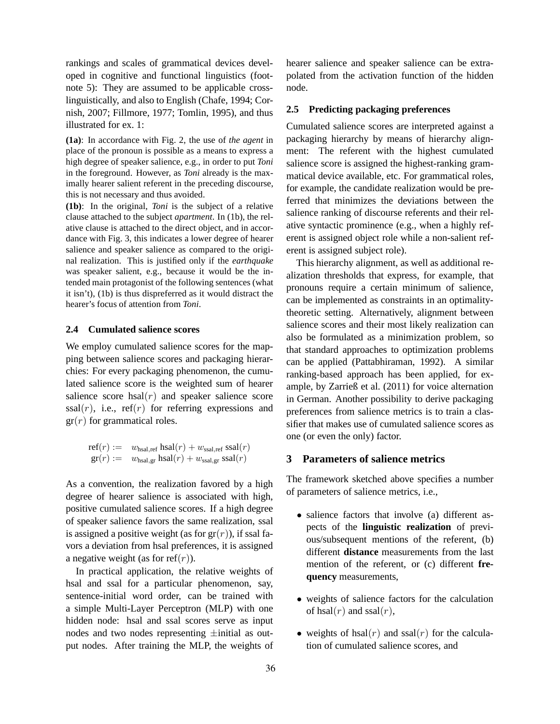rankings and scales of grammatical devices developed in cognitive and functional linguistics (footnote 5): They are assumed to be applicable crosslinguistically, and also to English (Chafe, 1994; Cornish, 2007; Fillmore, 1977; Tomlin, 1995), and thus illustrated for ex. 1:

**(1a)**: In accordance with Fig. 2, the use of *the agent* in place of the pronoun is possible as a means to express a high degree of speaker salience, e.g., in order to put *Toni* in the foreground. However, as *Toni* already is the maximally hearer salient referent in the preceding discourse, this is not necessary and thus avoided.

**(1b)**: In the original, *Toni* is the subject of a relative clause attached to the subject *apartment*. In (1b), the relative clause is attached to the direct object, and in accordance with Fig. 3, this indicates a lower degree of hearer salience and speaker salience as compared to the original realization. This is justified only if the *earthquake* was speaker salient, e.g., because it would be the intended main protagonist of the following sentences (what it isn't), (1b) is thus dispreferred as it would distract the hearer's focus of attention from *Toni*.

#### **2.4 Cumulated salience scores**

We employ cumulated salience scores for the mapping between salience scores and packaging hierarchies: For every packaging phenomenon, the cumulated salience score is the weighted sum of hearer salience score hsal $(r)$  and speaker salience score  $ssal(r)$ , i.e., ref(r) for referring expressions and  $gr(r)$  for grammatical roles.

$$
\begin{array}{rcl}\n\text{ref}(r) := & w_{\text{hsal,ref}} \text{hsal}(r) + w_{\text{ssal,ref}} \text{ssal}(r) \\
\text{gr}(r) := & w_{\text{hsal,gr}} \text{hsal}(r) + w_{\text{ssal,gr}} \text{ssal}(r)\n\end{array}
$$

As a convention, the realization favored by a high degree of hearer salience is associated with high, positive cumulated salience scores. If a high degree of speaker salience favors the same realization, ssal is assigned a positive weight (as for  $gr(r)$ ), if ssal favors a deviation from hsal preferences, it is assigned a negative weight (as for ref $(r)$ ).

In practical application, the relative weights of hsal and ssal for a particular phenomenon, say, sentence-initial word order, can be trained with a simple Multi-Layer Perceptron (MLP) with one hidden node: hsal and ssal scores serve as input nodes and two nodes representing ±initial as output nodes. After training the MLP, the weights of hearer salience and speaker salience can be extrapolated from the activation function of the hidden node.

# **2.5 Predicting packaging preferences**

Cumulated salience scores are interpreted against a packaging hierarchy by means of hierarchy alignment: The referent with the highest cumulated salience score is assigned the highest-ranking grammatical device available, etc. For grammatical roles, for example, the candidate realization would be preferred that minimizes the deviations between the salience ranking of discourse referents and their relative syntactic prominence (e.g., when a highly referent is assigned object role while a non-salient referent is assigned subject role).

This hierarchy alignment, as well as additional realization thresholds that express, for example, that pronouns require a certain minimum of salience, can be implemented as constraints in an optimalitytheoretic setting. Alternatively, alignment between salience scores and their most likely realization can also be formulated as a minimization problem, so that standard approaches to optimization problems can be applied (Pattabhiraman, 1992). A similar ranking-based approach has been applied, for example, by Zarrieß et al. (2011) for voice alternation in German. Another possibility to derive packaging preferences from salience metrics is to train a classifier that makes use of cumulated salience scores as one (or even the only) factor.

# **3 Parameters of salience metrics**

The framework sketched above specifies a number of parameters of salience metrics, i.e.,

- salience factors that involve (a) different aspects of the **linguistic realization** of previous/subsequent mentions of the referent, (b) different **distance** measurements from the last mention of the referent, or (c) different **frequency** measurements,
- weights of salience factors for the calculation of hsal $(r)$  and ssal $(r)$ ,
- weights of hsal $(r)$  and ssal $(r)$  for the calculation of cumulated salience scores, and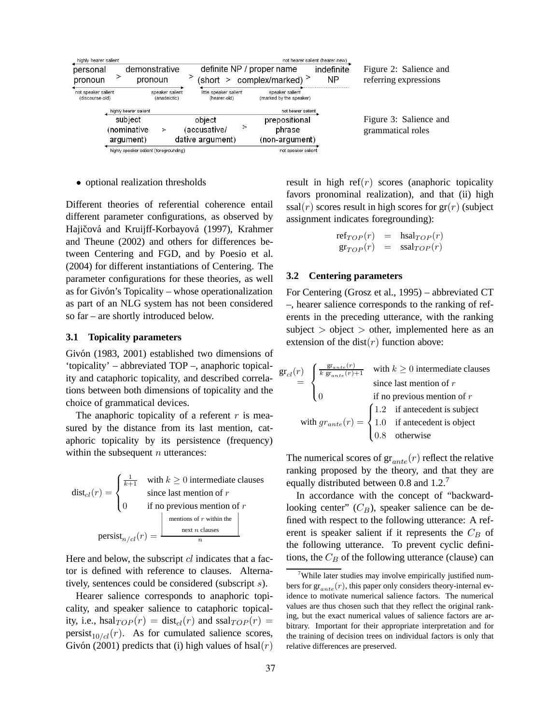| highly hearer salient<br>personal<br>pronoun | demonstrative<br>pronoun               |                                 | (short >                                   |   | definite NP / proper name<br>complex/marked) $>$                 | not hearer salient (hearer-new)<br>indefinite<br><b>NP</b> | Figure 2: Salience and<br>referring expressions |
|----------------------------------------------|----------------------------------------|---------------------------------|--------------------------------------------|---|------------------------------------------------------------------|------------------------------------------------------------|-------------------------------------------------|
| not speaker salient<br>(discourse-old)       | highly hearer salient                  | speaker salient<br>(anadeictic) | little speaker salient<br>(hearer-old)     |   | speaker salient<br>(marked by the speaker)<br>not hearer salient |                                                            |                                                 |
|                                              | subject<br>(nominative<br>argument)    | >                               | object<br>(accusative/<br>dative argument) | ⋗ | prepositional<br>phrase<br>(non-argument)                        |                                                            | Figure 3: Salience and<br>grammatical roles     |
|                                              | highly speaker salient (foregrounding) |                                 |                                            |   | not speaker salient                                              |                                                            |                                                 |

• optional realization thresholds

Different theories of referential coherence entail different parameter configurations, as observed by Hajičová and Kruijff-Korbayová (1997), Krahmer and Theune (2002) and others for differences between Centering and FGD, and by Poesio et al. (2004) for different instantiations of Centering. The parameter configurations for these theories, as well as for Givón's Topicality – whose operationalization as part of an NLG system has not been considered so far – are shortly introduced below.

#### **3.1 Topicality parameters**

Givón (1983, 2001) established two dimensions of 'topicality' – abbreviated TOP –, anaphoric topicality and cataphoric topicality, and described correlations between both dimensions of topicality and the choice of grammatical devices.

The anaphoric topicality of a referent  $r$  is measured by the distance from its last mention, cataphoric topicality by its persistence (frequency) within the subsequent  $n$  utterances:

 $dist_{cl}(r) =$  $\sqrt{ }$  $\int$  $\mathbf{I}$  $\frac{1}{k+1}$  with  $k \geq 0$  intermediate clauses since last mention of  $r$ 0 if no previous mention of  $r$  $\text{persist}_{n/cl}(r) =$  $\begin{array}{c}\n\hline\n\end{array}$ mentions of  $r$  within the next n clauses f r within the <br>  $\begin{array}{c} \n\frac{1}{2} \\
\frac{1}{2} \\
\frac{1}{2} \\
n\n\end{array}$ 

Here and below, the subscript  $cl$  indicates that a factor is defined with reference to clauses. Alternatively, sentences could be considered (subscript s).

Hearer salience corresponds to anaphoric topicality, and speaker salience to cataphoric topicality, i.e., hsal $_{TOP}(r) = \text{dist}_{cl}(r)$  and ssal $_{TOP}(r) =$ persist<sub>10/cl</sub>(r). As for cumulated salience scores, Givón (2001) predicts that (i) high values of hsal(r) result in high ref $(r)$  scores (anaphoric topicality favors pronominal realization), and that (ii) high  $ssal(r)$  scores result in high scores for  $gr(r)$  (subject assignment indicates foregrounding):

$$
\begin{array}{rcl} \mathrm{ref}_{TOP}(r) & = & \mathrm{hsal}_{TOP}(r) \\ \mathrm{gr}_{TOP}(r) & = & \mathrm{ssal}_{TOP}(r) \end{array}
$$

#### **3.2 Centering parameters**

For Centering (Grosz et al., 1995) – abbreviated CT –, hearer salience corresponds to the ranking of referents in the preceding utterance, with the ranking subject  $>$  object  $>$  other, implemented here as an extension of the dist $(r)$  function above:

$$
\begin{aligned}\n\mathbf{gr}_{cl}(r) &= \begin{cases}\n\frac{\mathbf{gr}_{ante}(r)}{k \mathbf{gr}_{ante}(r) + 1} & \text{with } k \ge 0 \text{ intermediate clauses} \\
\text{since last mention of } r \\
0 & \text{if no previous mention of } r\n\end{cases} \\
\text{with } gr_{ante}(r) = \begin{cases}\n1.2 & \text{if antecedent is subject} \\
1.0 & \text{if antecedent is object} \\
0.8 & \text{otherwise}\n\end{cases}\n\end{aligned}
$$

The numerical scores of  $gr_{ante}(r)$  reflect the relative ranking proposed by the theory, and that they are equally distributed between 0.8 and 1.2.<sup>7</sup>

In accordance with the concept of "backwardlooking center"  $(C_B)$ , speaker salience can be defined with respect to the following utterance: A referent is speaker salient if it represents the  $C_B$  of the following utterance. To prevent cyclic definitions, the  $C_B$  of the following utterance (clause) can

<sup>&</sup>lt;sup>7</sup>While later studies may involve empirically justified numbers for  $gr_{ante}(r)$ , this paper only considers theory-internal evidence to motivate numerical salience factors. The numerical values are thus chosen such that they reflect the original ranking, but the exact numerical values of salience factors are arbitrary. Important for their appropriate interpretation and for the training of decision trees on individual factors is only that relative differences are preserved.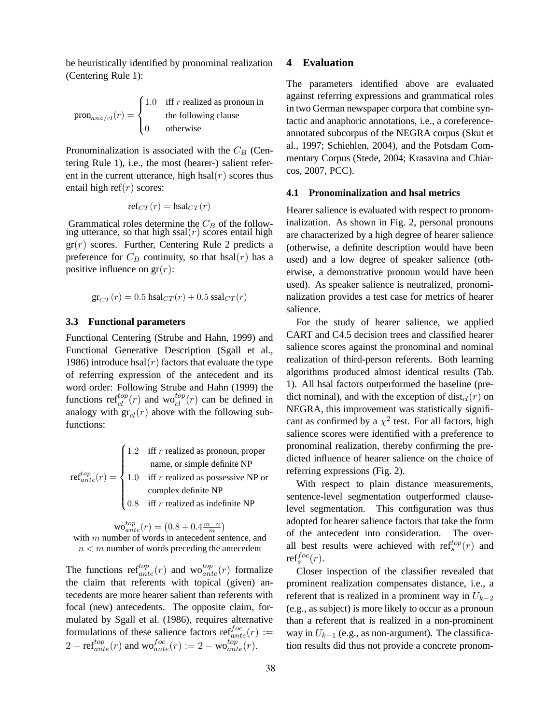be heuristically identified by pronominal realization (Centering Rule 1):

 $\text{pron}_{ana/cl}(r) =$  $\sqrt{ }$  $\int$  $\overline{a}$ 1.0 iff  $r$  realized as pronoun in the following clause 0 otherwise

Pronominalization is associated with the  $C_B$  (Centering Rule 1), i.e., the most (hearer-) salient referent in the current utterance, high hsal $(r)$  scores thus entail high ref $(r)$  scores:

$$
\mathrm{ref}_{CT}(r) = \mathrm{hsal}_{CT}(r)
$$

Grammatical roles determine the  $C_B$  of the following utterance, so that high  $ssal(r)$  scores entail high  $gr(r)$  scores. Further, Centering Rule 2 predicts a preference for  $C_B$  continuity, so that hsal(*r*) has a positive influence on  $gr(r)$ :

$$
\mathrm{gr}_{CT}(r)=0.5\ \mathrm{hsal}_{CT}(r)+0.5\ \mathrm{ssal}_{CT}(r)
$$

# **3.3 Functional parameters**

Functional Centering (Strube and Hahn, 1999) and Functional Generative Description (Sgall et al., 1986) introduce hsal $(r)$  factors that evaluate the type of referring expression of the antecedent and its word order: Following Strube and Hahn (1999) the functions  $ref_{cl}^{top}(r)$  and  $w_{cl}^{top}(r)$  can be defined in analogy with  $gr_{cl}(r)$  above with the following subfunctions:

|  | $\int 1.2$ iff r realized as pronoun, proper                                                                                                       |
|--|----------------------------------------------------------------------------------------------------------------------------------------------------|
|  | name, or simple definite NP                                                                                                                        |
|  | ref <sup><i>top</i></sup> $(r) = \begin{cases} 1.0 & \text{iff } r \text{ realized as possessive NP or} \\ \text{complex definite NP} \end{cases}$ |
|  |                                                                                                                                                    |
|  | $\Big  0.8$ iff r realized as indefinite NP                                                                                                        |

 $\text{wo}_{ante}^{top}(r) = (0.8 + 0.4 \frac{m-n}{m})$ with  $m$  number of words in antecedent sentence, and  $n < m$  number of words preceding the antecedent

The functions  $ref_{ante}^{top}(r)$  and  $wo_{ant}^{top}(r)$  formalize the claim that referents with topical (given) antecedents are more hearer salient than referents with focal (new) antecedents. The opposite claim, formulated by Sgall et al. (1986), requires alternative formulations of these salience factors  $ref_{ante}^{foc}(r) :=$  $2 - \text{ref}^{top}_{ante}(r)$  and  $\text{wo}^{foc}_{ante}(r) := 2 - \text{wo}^{top}_{ante}(r)$ .

### **4 Evaluation**

The parameters identified above are evaluated against referring expressions and grammatical roles in two German newspaper corpora that combine syntactic and anaphoric annotations, i.e., a coreferenceannotated subcorpus of the NEGRA corpus (Skut et al., 1997; Schiehlen, 2004), and the Potsdam Commentary Corpus (Stede, 2004; Krasavina and Chiarcos, 2007, PCC).

#### **4.1 Pronominalization and hsal metrics**

Hearer salience is evaluated with respect to pronominalization. As shown in Fig. 2, personal pronouns are characterized by a high degree of hearer salience (otherwise, a definite description would have been used) and a low degree of speaker salience (otherwise, a demonstrative pronoun would have been used). As speaker salience is neutralized, pronominalization provides a test case for metrics of hearer salience.

For the study of hearer salience, we applied CART and C4.5 decision trees and classified hearer salience scores against the pronominal and nominal realization of third-person referents. Both learning algorithms produced almost identical results (Tab. 1). All hsal factors outperformed the baseline (predict nominal), and with the exception of  $dist_{cl}(r)$  on NEGRA, this improvement was statistically significant as confirmed by a  $\chi^2$  test. For all factors, high salience scores were identified with a preference to pronominal realization, thereby confirming the predicted influence of hearer salience on the choice of referring expressions (Fig. 2).

With respect to plain distance measurements, sentence-level segmentation outperformed clauselevel segmentation. This configuration was thus adopted for hearer salience factors that take the form of the antecedent into consideration. The overall best results were achieved with  $\text{ref}_s^{top}(r)$  and  $\operatorname{ref}^{foc}_s(r)$ .

Closer inspection of the classifier revealed that prominent realization compensates distance, i.e., a referent that is realized in a prominent way in  $U_{k-2}$ (e.g., as subject) is more likely to occur as a pronoun than a referent that is realized in a non-prominent way in  $U_{k-1}$  (e.g., as non-argument). The classification results did thus not provide a concrete pronom-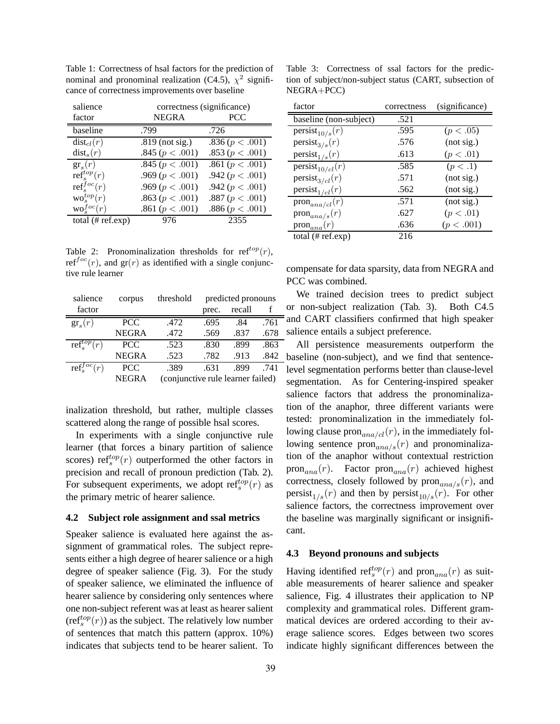Table 1: Correctness of hsal factors for the prediction of nominal and pronominal realization (C4.5),  $\chi^2$  significance of correctness improvements over baseline

| salience                    | correctness (significance) |                     |  |  |  |
|-----------------------------|----------------------------|---------------------|--|--|--|
| factor                      | <b>NEGRA</b>               | <b>PCC</b>          |  |  |  |
| baseline                    | .799                       | .726                |  |  |  |
| $dist_{cl}(r)$              | $.819$ (not sig.)          | .836 (p < .001)     |  |  |  |
| dist <sub>s</sub> (r)       | .845 ( $p < .001$ )        | .853 ( $p < .001$ ) |  |  |  |
| $gr_s(r)$                   | .845 ( $p \le 0.001$ )     | .861 ( $p < .001$ ) |  |  |  |
| $ref_{s}^{top}(r)$          | .969 ( $p < .001$ )        | .942 ( $p < .001$ ) |  |  |  |
| $\text{ref}^{foc}_{s}(r)$   | .969 ( $p < .001$ )        | .942 ( $p < .001$ ) |  |  |  |
| $\mathrm{wo}_s^{top}(r)$    | .863 ( $p < .001$ )        | .887 ( $p < .001$ ) |  |  |  |
| $\text{wo}_e^{foc}(r)$      | .861 ( $p < .001$ )        | .886 ( $p < .001$ ) |  |  |  |
| total $(\# \text{ref.exp})$ | 976                        | 2355                |  |  |  |

Table 2: Pronominalization thresholds for  $ref^{top}(r)$ , ref<sup> $foc(r)$ </sup>, and gr(r) as identified with a single conjunctive rule learner

| salience                | corpus       | threshold                         |       | predicted pronouns |      |
|-------------------------|--------------|-----------------------------------|-------|--------------------|------|
| factor                  |              |                                   | prec. | recall             |      |
| $gr_s(r)$               | <b>PCC</b>   | .472                              | .695  | .84                | .761 |
|                         | <b>NEGRA</b> | .472                              | .569  | .837               | .678 |
| $\text{ref}_s^{top}(r)$ | <b>PCC</b>   | .523                              | .830  | .899               | .863 |
|                         | <b>NEGRA</b> | .523                              | .782  | .913               | .842 |
| $ref_c^{foc}(r)$        | <b>PCC</b>   | .389                              | .631  | .899               | .741 |
|                         | <b>NEGRA</b> | (conjunctive rule learner failed) |       |                    |      |

inalization threshold, but rather, multiple classes scattered along the range of possible hsal scores.

In experiments with a single conjunctive rule learner (that forces a binary partition of salience scores)  $\text{ref}_s^{top}(r)$  outperformed the other factors in precision and recall of pronoun prediction (Tab. 2). For subsequent experiments, we adopt  $\text{ref}_s^{top}(r)$  as the primary metric of hearer salience.

#### **4.2 Subject role assignment and ssal metrics**

Speaker salience is evaluated here against the assignment of grammatical roles. The subject represents either a high degree of hearer salience or a high degree of speaker salience (Fig. 3). For the study of speaker salience, we eliminated the influence of hearer salience by considering only sentences where one non-subject referent was at least as hearer salient  $(\text{ref}_s^{top}(r))$  as the subject. The relatively low number of sentences that match this pattern (approx. 10%) indicates that subjects tend to be hearer salient. To

Table 3: Correctness of ssal factors for the prediction of subject/non-subject status (CART, subsection of NEGRA+PCC)

| factor                         | correctness | (significance) |
|--------------------------------|-------------|----------------|
| baseline (non-subject)         | .521        |                |
| $persist_{10/s}(r)$            | .595        | (p < .05)      |
| $persist_{3/s}(r)$             | .576        | (not sig.)     |
| $persist_{1/s}(r)$             | .613        | (p < .01)      |
| $persist_{10/cl}(r)$           | .585        | (p < .1)       |
| $persist_{3/cl}(r)$            | .571        | (not sig.)     |
| $persist_{1/cl}(r)$            | .562        | (not sig.)     |
| $\text{pron}_{ana/cl}(r)$      | .571        | (not sig.)     |
| $\text{pron}_{ana/s}(r)$       | .627        | (p < .01)      |
| $\operatorname{pron}_{ana}(r)$ | .636        | (p < .001)     |
| total $(\# \text{ref.exp})$    | 216         |                |

compensate for data sparsity, data from NEGRA and PCC was combined.

We trained decision trees to predict subject or non-subject realization (Tab. 3). Both C4.5 and CART classifiers confirmed that high speaker salience entails a subject preference.

All persistence measurements outperform the baseline (non-subject), and we find that sentencelevel segmentation performs better than clause-level segmentation. As for Centering-inspired speaker salience factors that address the pronominalization of the anaphor, three different variants were tested: pronominalization in the immediately following clause  $\text{pron}_{ana/cl}(r)$ , in the immediately following sentence  $\text{pron}_{ana/s}(r)$  and pronominalization of the anaphor without contextual restriction pron<sub>ana</sub> $(r)$ . Factor pron<sub>ana</sub> $(r)$  achieved highest correctness, closely followed by  $\text{pron}_{ana/s}(r)$ , and persist<sub>1/s</sub> $(r)$  and then by persist<sub>10/s</sub> $(r)$ . For other salience factors, the correctness improvement over the baseline was marginally significant or insignificant.

## **4.3 Beyond pronouns and subjects**

Having identified  $\text{ref}_s^{top}(r)$  and  $\text{pron}_{ana}(r)$  as suitable measurements of hearer salience and speaker salience, Fig. 4 illustrates their application to NP complexity and grammatical roles. Different grammatical devices are ordered according to their average salience scores. Edges between two scores indicate highly significant differences between the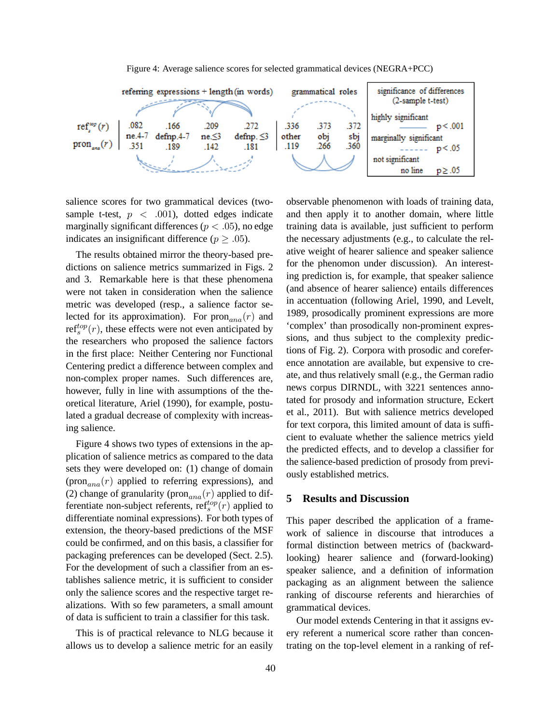

Figure 4: Average salience scores for selected grammatical devices (NEGRA+PCC)

salience scores for two grammatical devices (twosample t-test,  $p \, < \, .001$ ), dotted edges indicate marginally significant differences ( $p < .05$ ), no edge indicates an insignificant difference ( $p > .05$ ).

The results obtained mirror the theory-based predictions on salience metrics summarized in Figs. 2 and 3. Remarkable here is that these phenomena were not taken in consideration when the salience metric was developed (resp., a salience factor selected for its approximation). For  $\text{pron}_{ana}(r)$  and ref<sup>top</sup> $(r)$ , these effects were not even anticipated by the researchers who proposed the salience factors in the first place: Neither Centering nor Functional Centering predict a difference between complex and non-complex proper names. Such differences are, however, fully in line with assumptions of the theoretical literature, Ariel (1990), for example, postulated a gradual decrease of complexity with increasing salience.

Figure 4 shows two types of extensions in the application of salience metrics as compared to the data sets they were developed on: (1) change of domain (pron<sub>ana</sub> $(r)$  applied to referring expressions), and (2) change of granularity ( $\text{pron}_{ana}(r)$  applied to differentiate non-subject referents,  $\text{ref}^{top}_s(r)$  applied to differentiate nominal expressions). For both types of extension, the theory-based predictions of the MSF could be confirmed, and on this basis, a classifier for packaging preferences can be developed (Sect. 2.5). For the development of such a classifier from an establishes salience metric, it is sufficient to consider only the salience scores and the respective target realizations. With so few parameters, a small amount of data is sufficient to train a classifier for this task.

This is of practical relevance to NLG because it allows us to develop a salience metric for an easily

observable phenomenon with loads of training data, and then apply it to another domain, where little training data is available, just sufficient to perform the necessary adjustments (e.g., to calculate the relative weight of hearer salience and speaker salience for the phenomon under discussion). An interesting prediction is, for example, that speaker salience (and absence of hearer salience) entails differences in accentuation (following Ariel, 1990, and Levelt, 1989, prosodically prominent expressions are more 'complex' than prosodically non-prominent expressions, and thus subject to the complexity predictions of Fig. 2). Corpora with prosodic and coreference annotation are available, but expensive to create, and thus relatively small (e.g., the German radio news corpus DIRNDL, with 3221 sentences annotated for prosody and information structure, Eckert et al., 2011). But with salience metrics developed for text corpora, this limited amount of data is sufficient to evaluate whether the salience metrics yield the predicted effects, and to develop a classifier for the salience-based prediction of prosody from previously established metrics.

# **5 Results and Discussion**

This paper described the application of a framework of salience in discourse that introduces a formal distinction between metrics of (backwardlooking) hearer salience and (forward-looking) speaker salience, and a definition of information packaging as an alignment between the salience ranking of discourse referents and hierarchies of grammatical devices.

Our model extends Centering in that it assigns every referent a numerical score rather than concentrating on the top-level element in a ranking of ref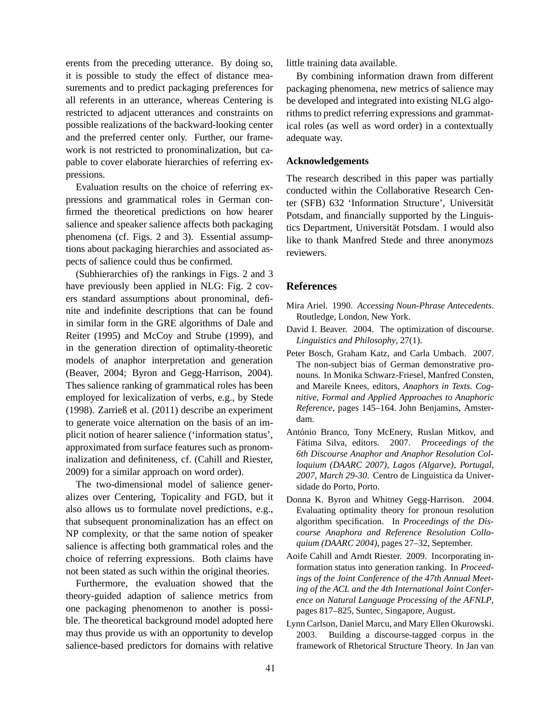erents from the preceding utterance. By doing so, it is possible to study the effect of distance measurements and to predict packaging preferences for all referents in an utterance, whereas Centering is restricted to adjacent utterances and constraints on possible realizations of the backward-looking center and the preferred center only. Further, our framework is not restricted to pronominalization, but capable to cover elaborate hierarchies of referring expressions.

Evaluation results on the choice of referring expressions and grammatical roles in German confirmed the theoretical predictions on how hearer salience and speaker salience affects both packaging phenomena (cf. Figs. 2 and 3). Essential assumptions about packaging hierarchies and associated aspects of salience could thus be confirmed.

(Subhierarchies of) the rankings in Figs. 2 and 3 have previously been applied in NLG: Fig. 2 covers standard assumptions about pronominal, definite and indefinite descriptions that can be found in similar form in the GRE algorithms of Dale and Reiter (1995) and McCoy and Strube (1999), and in the generation direction of optimality-theoretic models of anaphor interpretation and generation (Beaver, 2004; Byron and Gegg-Harrison, 2004). Thes salience ranking of grammatical roles has been employed for lexicalization of verbs, e.g., by Stede (1998). Zarrieß et al. (2011) describe an experiment to generate voice alternation on the basis of an implicit notion of hearer salience ('information status', approximated from surface features such as pronominalization and definiteness, cf. (Cahill and Riester, 2009) for a similar approach on word order).

The two-dimensional model of salience generalizes over Centering, Topicality and FGD, but it also allows us to formulate novel predictions, e.g., that subsequent pronominalization has an effect on NP complexity, or that the same notion of speaker salience is affecting both grammatical roles and the choice of referring expressions. Both claims have not been stated as such within the original theories.

Furthermore, the evaluation showed that the theory-guided adaption of salience metrics from one packaging phenomenon to another is possible. The theoretical background model adopted here may thus provide us with an opportunity to develop salience-based predictors for domains with relative little training data available.

By combining information drawn from different packaging phenomena, new metrics of salience may be developed and integrated into existing NLG algorithms to predict referring expressions and grammatical roles (as well as word order) in a contextually adequate way.

#### **Acknowledgements**

The research described in this paper was partially conducted within the Collaborative Research Center (SFB) 632 'Information Structure', Universität Potsdam, and financially supported by the Linguistics Department, Universität Potsdam. I would also like to thank Manfred Stede and three anonymozs reviewers.

#### **References**

- Mira Ariel. 1990. *Accessing Noun-Phrase Antecedents*. Routledge, London, New York.
- David I. Beaver. 2004. The optimization of discourse. *Linguistics and Philosophy*, 27(1).
- Peter Bosch, Graham Katz, and Carla Umbach. 2007. The non-subject bias of German demonstrative pronouns. In Monika Schwarz-Friesel, Manfred Consten, and Mareile Knees, editors, *Anaphors in Texts. Cognitive, Formal and Applied Approaches to Anaphoric Reference*, pages 145–164. John Benjamins, Amsterdam.
- António Branco, Tony McEnery, Ruslan Mitkov, and Fátima Silva, editors. 2007. Proceedings of the *6th Discourse Anaphor and Anaphor Resolution Colloquium (DAARC 2007), Lagos (Algarve), Portugal, 2007, March 29-30*. Centro de Linguistica da Universidade do Porto, Porto.
- Donna K. Byron and Whitney Gegg-Harrison. 2004. Evaluating optimality theory for pronoun resolution algorithm specification. In *Proceedings of the Discourse Anaphora and Reference Resolution Colloquium (DAARC 2004)*, pages 27–32, September.
- Aoife Cahill and Arndt Riester. 2009. Incorporating information status into generation ranking. In *Proceedings of the Joint Conference of the 47th Annual Meeting of the ACL and the 4th International Joint Conference on Natural Language Processing of the AFNLP*, pages 817–825, Suntec, Singapore, August.
- Lynn Carlson, Daniel Marcu, and Mary Ellen Okurowski. 2003. Building a discourse-tagged corpus in the framework of Rhetorical Structure Theory. In Jan van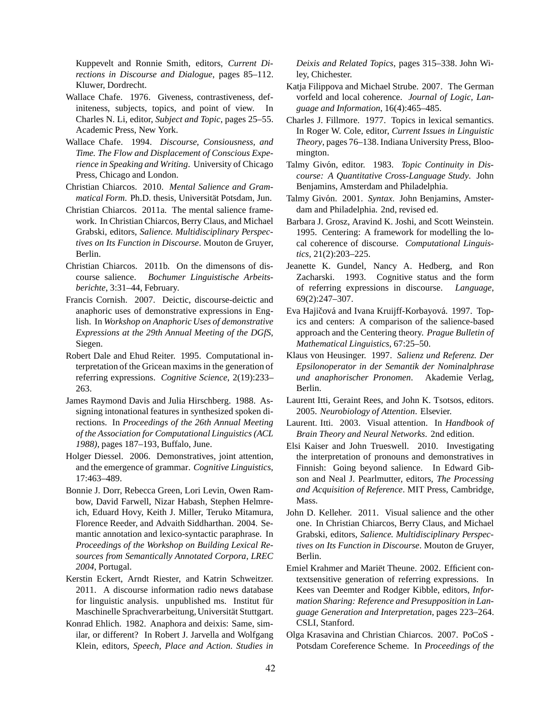Kuppevelt and Ronnie Smith, editors, *Current Directions in Discourse and Dialogue*, pages 85–112. Kluwer, Dordrecht.

- Wallace Chafe. 1976. Giveness, contrastiveness, definiteness, subjects, topics, and point of view. In Charles N. Li, editor, *Subject and Topic*, pages 25–55. Academic Press, New York.
- Wallace Chafe. 1994. *Discourse, Consiousness, and Time. The Flow and Displacement of Conscious Experience in Speaking and Writing*. University of Chicago Press, Chicago and London.
- Christian Chiarcos. 2010. *Mental Salience and Grammatical Form.* Ph.D. thesis, Universität Potsdam, Jun.
- Christian Chiarcos. 2011a. The mental salience framework. In Christian Chiarcos, Berry Claus, and Michael Grabski, editors, *Salience. Multidisciplinary Perspectives on Its Function in Discourse*. Mouton de Gruyer, Berlin.
- Christian Chiarcos. 2011b. On the dimensons of discourse salience. *Bochumer Linguistische Arbeitsberichte*, 3:31–44, February.
- Francis Cornish. 2007. Deictic, discourse-deictic and anaphoric uses of demonstrative expressions in English. In *Workshop on Anaphoric Uses of demonstrative Expressions at the 29th Annual Meeting of the DGfS*, Siegen.
- Robert Dale and Ehud Reiter. 1995. Computational interpretation of the Gricean maxims in the generation of referring expressions. *Cognitive Science*, 2(19):233– 263.
- James Raymond Davis and Julia Hirschberg. 1988. Assigning intonational features in synthesized spoken directions. In *Proceedings of the 26th Annual Meeting of the Association for Computational Linguistics (ACL 1988)*, pages 187–193, Buffalo, June.
- Holger Diessel. 2006. Demonstratives, joint attention, and the emergence of grammar. *Cognitive Linguistics*, 17:463–489.
- Bonnie J. Dorr, Rebecca Green, Lori Levin, Owen Rambow, David Farwell, Nizar Habash, Stephen Helmreich, Eduard Hovy, Keith J. Miller, Teruko Mitamura, Florence Reeder, and Advaith Siddharthan. 2004. Semantic annotation and lexico-syntactic paraphrase. In *Proceedings of the Workshop on Building Lexical Resources from Semantically Annotated Corpora, LREC 2004*, Portugal.
- Kerstin Eckert, Arndt Riester, and Katrin Schweitzer. 2011. A discourse information radio news database for linguistic analysis. unpublished ms. Institut für Maschinelle Sprachverarbeitung, Universität Stuttgart.
- Konrad Ehlich. 1982. Anaphora and deixis: Same, similar, or different? In Robert J. Jarvella and Wolfgang Klein, editors, *Speech, Place and Action. Studies in*

*Deixis and Related Topics*, pages 315–338. John Wiley, Chichester.

- Katja Filippova and Michael Strube. 2007. The German vorfeld and local coherence. *Journal of Logic, Language and Information*, 16(4):465–485.
- Charles J. Fillmore. 1977. Topics in lexical semantics. In Roger W. Cole, editor, *Current Issues in Linguistic Theory*, pages 76–138. Indiana University Press, Bloomington.
- Talmy Givón, editor. 1983. Topic Continuity in Dis*course: A Quantitative Cross-Language Study*. John Benjamins, Amsterdam and Philadelphia.
- Talmy Givón. 2001. Syntax. John Benjamins, Amsterdam and Philadelphia. 2nd, revised ed.
- Barbara J. Grosz, Aravind K. Joshi, and Scott Weinstein. 1995. Centering: A framework for modelling the local coherence of discourse. *Computational Linguistics*, 21(2):203–225.
- Jeanette K. Gundel, Nancy A. Hedberg, and Ron Zacharski. 1993. Cognitive status and the form of referring expressions in discourse. *Language*, 69(2):247–307.
- Eva Hajičová and Ivana Kruijff-Korbayová. 1997. Topics and centers: A comparison of the salience-based approach and the Centering theory. *Prague Bulletin of Mathematical Linguistics*, 67:25–50.
- Klaus von Heusinger. 1997. *Salienz und Referenz. Der Epsilonoperator in der Semantik der Nominalphrase und anaphorischer Pronomen*. Akademie Verlag, Berlin.
- Laurent Itti, Geraint Rees, and John K. Tsotsos, editors. 2005. *Neurobiology of Attention*. Elsevier.
- Laurent. Itti. 2003. Visual attention. In *Handbook of Brain Theory and Neural Networks*. 2nd edition.
- Elsi Kaiser and John Trueswell. 2010. Investigating the interpretation of pronouns and demonstratives in Finnish: Going beyond salience. In Edward Gibson and Neal J. Pearlmutter, editors, *The Processing and Acquisition of Reference*. MIT Press, Cambridge, Mass.
- John D. Kelleher. 2011. Visual salience and the other one. In Christian Chiarcos, Berry Claus, and Michael Grabski, editors, *Salience. Multidisciplinary Perspectives on Its Function in Discourse*. Mouton de Gruyer, Berlin.
- Emiel Krahmer and Mariët Theune. 2002. Efficient contextsensitive generation of referring expressions. In Kees van Deemter and Rodger Kibble, editors, *Information Sharing: Reference and Presupposition in Language Generation and Interpretation*, pages 223–264. CSLI, Stanford.
- Olga Krasavina and Christian Chiarcos. 2007. PoCoS Potsdam Coreference Scheme. In *Proceedings of the*